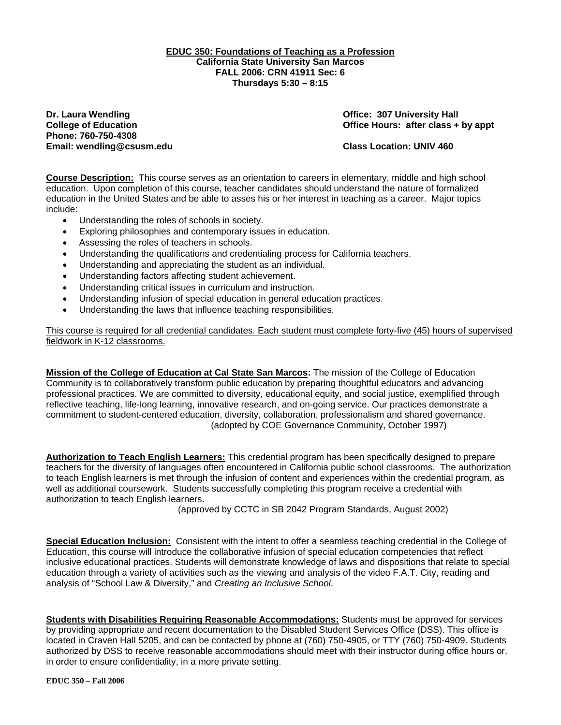**EDUC 350: Foundations of Teaching as a Profession California State University San Marcos FALL 2006: CRN 41911 Sec: 6 Thursdays 5:30 – 8:15** 

**Dr. Laura Wendling Community Community Community Community Community Community Community Community Community Community Community Community Community Community Community Community Community Community Community Community Co Phone: 760-750-4308 Email: wendling@csusm.edu Class Location: UNIV 460** 

**College of Education College of Education College Act College of Education College Act Class + by appt** 

**Course Description:** This course serves as an orientation to careers in elementary, middle and high school education. Upon completion of this course, teacher candidates should understand the nature of formalized education in the United States and be able to asses his or her interest in teaching as a career. Major topics include:

- Understanding the roles of schools in society.
- Exploring philosophies and contemporary issues in education.
- Assessing the roles of teachers in schools.
- Understanding the qualifications and credentialing process for California teachers.
- Understanding and appreciating the student as an individual.
- Understanding factors affecting student achievement.
- Understanding critical issues in curriculum and instruction.
- Understanding infusion of special education in general education practices.
- Understanding the laws that influence teaching responsibilities.

This course is required for all credential candidates. Each student must complete forty-five (45) hours of supervised fieldwork in K-12 classrooms.

**Mission of the College of Education at Cal State San Marcos:** The mission of the College of Education Community is to collaboratively transform public education by preparing thoughtful educators and advancing professional practices. We are committed to diversity, educational equity, and social justice, exemplified through reflective teaching, life-long learning, innovative research, and on-going service. Our practices demonstrate a commitment to student-centered education, diversity, collaboration, professionalism and shared governance. (adopted by COE Governance Community, October 1997)

**Authorization to Teach English Learners:** This credential program has been specifically designed to prepare teachers for the diversity of languages often encountered in California public school classrooms. The authorization to teach English learners is met through the infusion of content and experiences within the credential program, as well as additional coursework. Students successfully completing this program receive a credential with authorization to teach English learners.

(approved by CCTC in SB 2042 Program Standards, August 2002)

**Special Education Inclusion:** Consistent with the intent to offer a seamless teaching credential in the College of Education, this course will introduce the collaborative infusion of special education competencies that reflect inclusive educational practices. Students will demonstrate knowledge of laws and dispositions that relate to special education through a variety of activities such as the viewing and analysis of the video F.A.T. City, reading and analysis of "School Law & Diversity," and *Creating an Inclusive School*.

**Students with Disabilities Requiring Reasonable Accommodations:** Students must be approved for services by providing appropriate and recent documentation to the Disabled Student Services Office (DSS). This office is located in Craven Hall 5205, and can be contacted by phone at (760) 750-4905, or TTY (760) 750-4909. Students authorized by DSS to receive reasonable accommodations should meet with their instructor during office hours or, in order to ensure confidentiality, in a more private setting.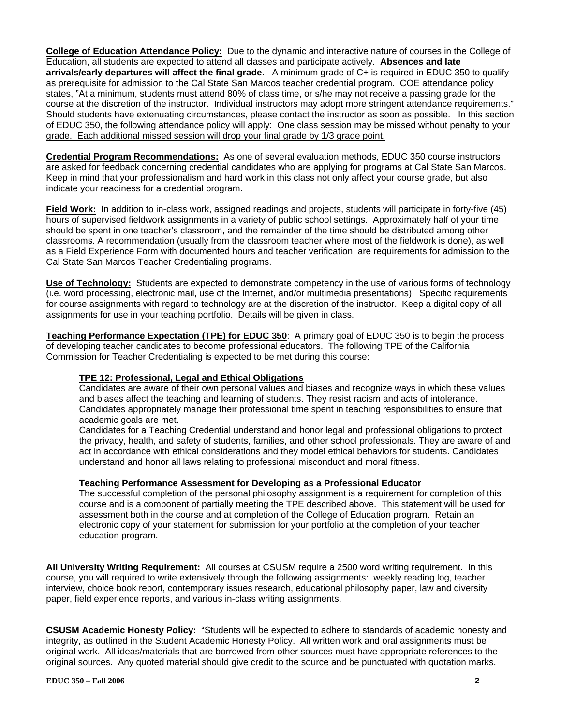**College of Education Attendance Policy:** Due to the dynamic and interactive nature of courses in the College of Education, all students are expected to attend all classes and participate actively. **Absences and late arrivals/early departures will affect the final grade**. A minimum grade of C+ is required in EDUC 350 to qualify as prerequisite for admission to the Cal State San Marcos teacher credential program. COE attendance policy states, "At a minimum, students must attend 80% of class time, or s/he may not receive a passing grade for the course at the discretion of the instructor. Individual instructors may adopt more stringent attendance requirements." Should students have extenuating circumstances, please contact the instructor as soon as possible. In this section of EDUC 350, the following attendance policy will apply: One class session may be missed without penalty to your grade. Each additional missed session will drop your final grade by 1/3 grade point.

**Credential Program Recommendations:** As one of several evaluation methods, EDUC 350 course instructors are asked for feedback concerning credential candidates who are applying for programs at Cal State San Marcos. Keep in mind that your professionalism and hard work in this class not only affect your course grade, but also indicate your readiness for a credential program.

**Field Work:** In addition to in-class work, assigned readings and projects, students will participate in forty-five (45) hours of supervised fieldwork assignments in a variety of public school settings. Approximately half of your time should be spent in one teacher's classroom, and the remainder of the time should be distributed among other classrooms. A recommendation (usually from the classroom teacher where most of the fieldwork is done), as well as a Field Experience Form with documented hours and teacher verification, are requirements for admission to the Cal State San Marcos Teacher Credentialing programs.

**Use of Technology:** Students are expected to demonstrate competency in the use of various forms of technology (i.e. word processing, electronic mail, use of the Internet, and/or multimedia presentations). Specific requirements for course assignments with regard to technology are at the discretion of the instructor. Keep a digital copy of all assignments for use in your teaching portfolio. Details will be given in class.

**Teaching Performance Expectation (TPE) for EDUC 350**: A primary goal of EDUC 350 is to begin the process of developing teacher candidates to become professional educators. The following TPE of the California Commission for Teacher Credentialing is expected to be met during this course:

# **TPE 12: Professional, Legal and Ethical Obligations**

Candidates are aware of their own personal values and biases and recognize ways in which these values and biases affect the teaching and learning of students. They resist racism and acts of intolerance. Candidates appropriately manage their professional time spent in teaching responsibilities to ensure that academic goals are met.

Candidates for a Teaching Credential understand and honor legal and professional obligations to protect the privacy, health, and safety of students, families, and other school professionals. They are aware of and act in accordance with ethical considerations and they model ethical behaviors for students. Candidates understand and honor all laws relating to professional misconduct and moral fitness.

### **Teaching Performance Assessment for Developing as a Professional Educator**

The successful completion of the personal philosophy assignment is a requirement for completion of this course and is a component of partially meeting the TPE described above. This statement will be used for assessment both in the course and at completion of the College of Education program. Retain an electronic copy of your statement for submission for your portfolio at the completion of your teacher education program.

**All University Writing Requirement:** All courses at CSUSM require a 2500 word writing requirement. In this course, you will required to write extensively through the following assignments: weekly reading log, teacher interview, choice book report, contemporary issues research, educational philosophy paper, law and diversity paper, field experience reports, and various in-class writing assignments.

**CSUSM Academic Honesty Policy:** "Students will be expected to adhere to standards of academic honesty and integrity, as outlined in the Student Academic Honesty Policy. All written work and oral assignments must be original work. All ideas/materials that are borrowed from other sources must have appropriate references to the original sources. Any quoted material should give credit to the source and be punctuated with quotation marks.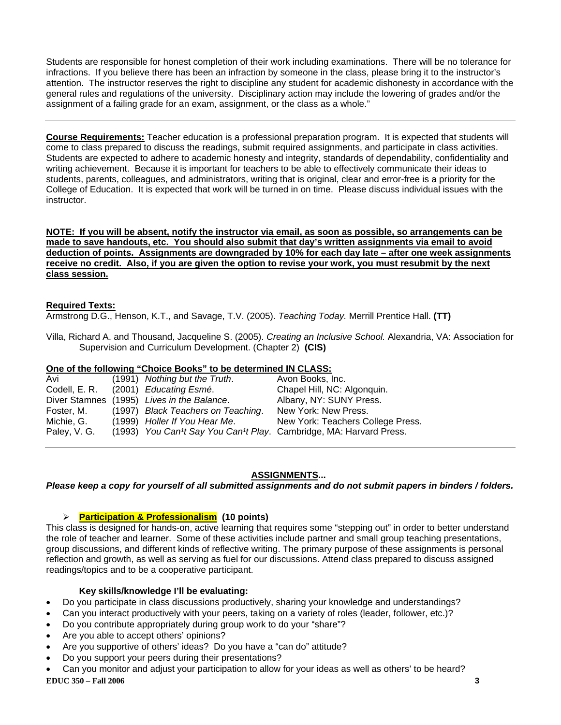Students are responsible for honest completion of their work including examinations. There will be no tolerance for infractions. If you believe there has been an infraction by someone in the class, please bring it to the instructor's attention. The instructor reserves the right to discipline any student for academic dishonesty in accordance with the general rules and regulations of the university. Disciplinary action may include the lowering of grades and/or the assignment of a failing grade for an exam, assignment, or the class as a whole."

**Course Requirements:** Teacher education is a professional preparation program. It is expected that students will come to class prepared to discuss the readings, submit required assignments, and participate in class activities. Students are expected to adhere to academic honesty and integrity, standards of dependability, confidentiality and writing achievement. Because it is important for teachers to be able to effectively communicate their ideas to students, parents, colleagues, and administrators, writing that is original, clear and error-free is a priority for the College of Education. It is expected that work will be turned in on time. Please discuss individual issues with the instructor.

**NOTE: If you will be absent, notify the instructor via email, as soon as possible, so arrangements can be made to save handouts, etc. You should also submit that day's written assignments via email to avoid deduction of points. Assignments are downgraded by 10% for each day late – after one week assignments receive no credit. Also, if you are given the option to revise your work, you must resubmit by the next class session.**

# **Required Texts:**

Armstrong D.G., Henson, K.T., and Savage, T.V. (2005). *Teaching Today.* Merrill Prentice Hall. **(TT)**

Villa, Richard A. and Thousand, Jacqueline S. (2005). *Creating an Inclusive School.* Alexandria, VA: Association for Supervision and Curriculum Development. (Chapter 2) **(CIS)**

## **One of the following "Choice Books" to be determined IN CLASS:**

| Avi          | (1991) Nothing but the Truth.              | Avon Books, Inc.                                                   |
|--------------|--------------------------------------------|--------------------------------------------------------------------|
|              | Codell, E. R. (2001) Educating Esmé.       | Chapel Hill, NC: Algonquin.                                        |
|              | Diver Stamnes (1995) Lives in the Balance. | Albany, NY: SUNY Press.                                            |
| Foster, M.   | (1997) Black Teachers on Teaching.         | New York: New Press.                                               |
| Michie, G.   | (1999) Holler If You Hear Me.              | New York: Teachers College Press.                                  |
| Paley, V. G. |                                            | (1993) You Can't Say You Can't Play. Cambridge, MA: Harvard Press. |

# **ASSIGNMENTS...**

*Please keep a copy for yourself of all submitted assignments and do not submit papers in binders / folders.* 

# ¾ **Participation & Professionalism (10 points)**

This class is designed for hands-on, active learning that requires some "stepping out" in order to better understand the role of teacher and learner. Some of these activities include partner and small group teaching presentations, group discussions, and different kinds of reflective writing. The primary purpose of these assignments is personal reflection and growth, as well as serving as fuel for our discussions. Attend class prepared to discuss assigned readings/topics and to be a cooperative participant.

### **Key skills/knowledge I'll be evaluating:**

- Do you participate in class discussions productively, sharing your knowledge and understandings?
- Can you interact productively with your peers, taking on a variety of roles (leader, follower, etc.)?
- Do you contribute appropriately during group work to do your "share"?
- Are you able to accept others' opinions?
- Are you supportive of others' ideas? Do you have a "can do" attitude?
- Do you support your peers during their presentations?
- **EDUC 350 Fall 2006 3**  • Can you monitor and adjust your participation to allow for your ideas as well as others' to be heard?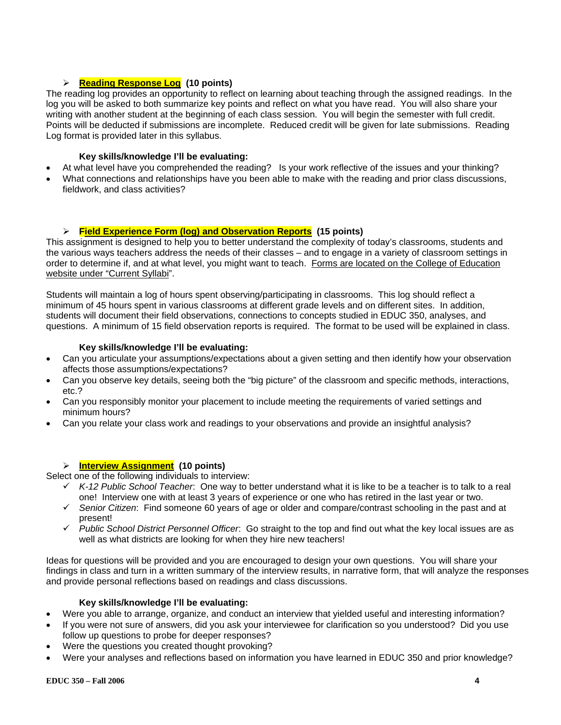# ¾ **Reading Response Log (10 points)**

The reading log provides an opportunity to reflect on learning about teaching through the assigned readings. In the log you will be asked to both summarize key points and reflect on what you have read. You will also share your writing with another student at the beginning of each class session. You will begin the semester with full credit. Points will be deducted if submissions are incomplete. Reduced credit will be given for late submissions. Reading Log format is provided later in this syllabus.

# **Key skills/knowledge I'll be evaluating:**

- At what level have you comprehended the reading? Is your work reflective of the issues and your thinking?
- What connections and relationships have you been able to make with the reading and prior class discussions, fieldwork, and class activities?

# ¾ **Field Experience Form (log) and Observation Reports (15 points)**

This assignment is designed to help you to better understand the complexity of today's classrooms, students and the various ways teachers address the needs of their classes – and to engage in a variety of classroom settings in order to determine if, and at what level, you might want to teach. Forms are located on the College of Education website under "Current Syllabi".

Students will maintain a log of hours spent observing/participating in classrooms. This log should reflect a minimum of 45 hours spent in various classrooms at different grade levels and on different sites. In addition, students will document their field observations, connections to concepts studied in EDUC 350, analyses, and questions. A minimum of 15 field observation reports is required. The format to be used will be explained in class.

## **Key skills/knowledge I'll be evaluating:**

- Can you articulate your assumptions/expectations about a given setting and then identify how your observation affects those assumptions/expectations?
- Can you observe key details, seeing both the "big picture" of the classroom and specific methods, interactions, etc.?
- Can you responsibly monitor your placement to include meeting the requirements of varied settings and minimum hours?
- Can you relate your class work and readings to your observations and provide an insightful analysis?

# ¾ **Interview Assignment (10 points)**

Select one of the following individuals to interview:

- 9 *K-12 Public School Teacher*: One way to better understand what it is like to be a teacher is to talk to a real one! Interview one with at least 3 years of experience or one who has retired in the last year or two.
- 9 *Senior Citizen*: Find someone 60 years of age or older and compare/contrast schooling in the past and at present!
- 9 *Public School District Personnel Officer*: Go straight to the top and find out what the key local issues are as well as what districts are looking for when they hire new teachers!

Ideas for questions will be provided and you are encouraged to design your own questions. You will share your findings in class and turn in a written summary of the interview results, in narrative form, that will analyze the responses and provide personal reflections based on readings and class discussions.

# **Key skills/knowledge I'll be evaluating:**

- Were you able to arrange, organize, and conduct an interview that yielded useful and interesting information?
- If you were not sure of answers, did you ask your interviewee for clarification so you understood? Did you use follow up questions to probe for deeper responses?
- Were the questions you created thought provoking?
- Were your analyses and reflections based on information you have learned in EDUC 350 and prior knowledge?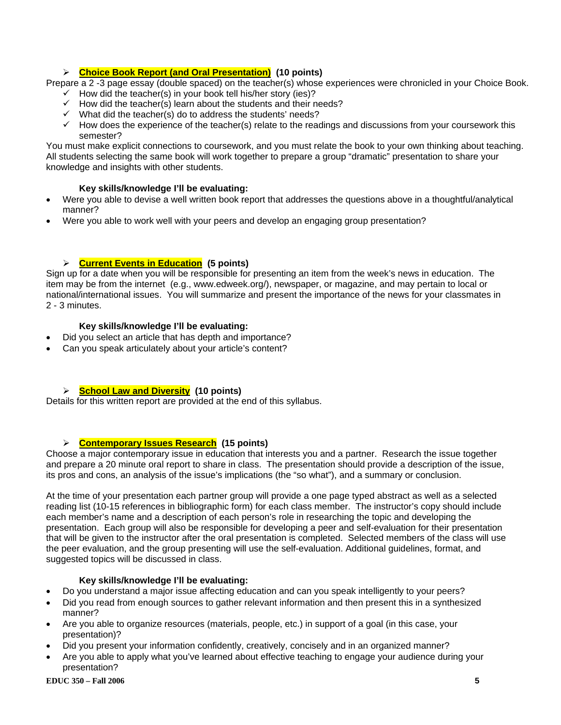# ¾ **Choice Book Report (and Oral Presentation) (10 points)**

Prepare a 2 -3 page essay (double spaced) on the teacher(s) whose experiences were chronicled in your Choice Book.

- $\checkmark$  How did the teacher(s) in your book tell his/her story (ies)?
- $\checkmark$  How did the teacher(s) learn about the students and their needs?
- $\checkmark$  What did the teacher(s) do to address the students' needs?
- $\checkmark$  How does the experience of the teacher(s) relate to the readings and discussions from your coursework this semester?

You must make explicit connections to coursework, and you must relate the book to your own thinking about teaching. All students selecting the same book will work together to prepare a group "dramatic" presentation to share your knowledge and insights with other students.

# **Key skills/knowledge I'll be evaluating:**

- Were you able to devise a well written book report that addresses the questions above in a thoughtful/analytical manner?
- Were you able to work well with your peers and develop an engaging group presentation?

# ¾ **Current Events in Education (5 points)**

Sign up for a date when you will be responsible for presenting an item from the week's news in education. The item may be from the internet (e.g., www.edweek.org/), newspaper, or magazine, and may pertain to local or national/international issues. You will summarize and present the importance of the news for your classmates in 2 - 3 minutes.

### **Key skills/knowledge I'll be evaluating:**

- Did you select an article that has depth and importance?
- Can you speak articulately about your article's content?

# ¾ **School Law and Diversity (10 points)**

Details for this written report are provided at the end of this syllabus.

## ¾ **Contemporary Issues Research (15 points)**

Choose a major contemporary issue in education that interests you and a partner. Research the issue together and prepare a 20 minute oral report to share in class. The presentation should provide a description of the issue, its pros and cons, an analysis of the issue's implications (the "so what"), and a summary or conclusion.

At the time of your presentation each partner group will provide a one page typed abstract as well as a selected reading list (10-15 references in bibliographic form) for each class member. The instructor's copy should include each member's name and a description of each person's role in researching the topic and developing the presentation. Each group will also be responsible for developing a peer and self-evaluation for their presentation that will be given to the instructor after the oral presentation is completed. Selected members of the class will use the peer evaluation, and the group presenting will use the self-evaluation. Additional guidelines, format, and suggested topics will be discussed in class.

### **Key skills/knowledge I'll be evaluating:**

- Do you understand a major issue affecting education and can you speak intelligently to your peers?
- Did you read from enough sources to gather relevant information and then present this in a synthesized manner?
- Are you able to organize resources (materials, people, etc.) in support of a goal (in this case, your presentation)?
- Did you present your information confidently, creatively, concisely and in an organized manner?
- Are you able to apply what you've learned about effective teaching to engage your audience during your presentation?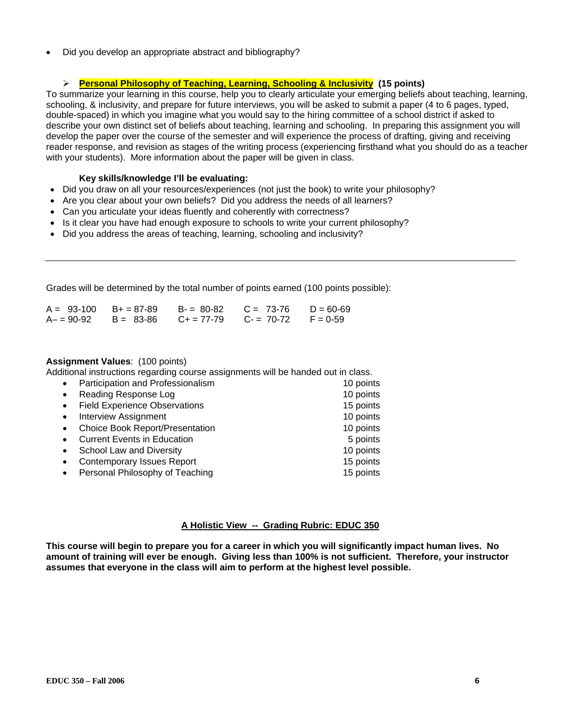• Did you develop an appropriate abstract and bibliography?

## ¾ **Personal Philosophy of Teaching, Learning, Schooling & Inclusivity (15 points)**

To summarize your learning in this course, help you to clearly articulate your emerging beliefs about teaching, learning, schooling, & inclusivity, and prepare for future interviews, you will be asked to submit a paper (4 to 6 pages, typed, double-spaced) in which you imagine what you would say to the hiring committee of a school district if asked to describe your own distinct set of beliefs about teaching, learning and schooling. In preparing this assignment you will develop the paper over the course of the semester and will experience the process of drafting, giving and receiving reader response, and revision as stages of the writing process (experiencing firsthand what you should do as a teacher with your students). More information about the paper will be given in class.

### **Key skills/knowledge I'll be evaluating:**

- Did you draw on all your resources/experiences (not just the book) to write your philosophy?
- Are you clear about your own beliefs? Did you address the needs of all learners?
- Can you articulate your ideas fluently and coherently with correctness?
- Is it clear you have had enough exposure to schools to write your current philosophy?
- Did you address the areas of teaching, learning, schooling and inclusivity?

Grades will be determined by the total number of points earned (100 points possible):

|               | $A = 93-100$ $B+=87-89$ | B- = 80-82 | $C = 73-76$ $D = 60-69$                |  |
|---------------|-------------------------|------------|----------------------------------------|--|
| $A - 90 - 92$ | B = 83-86               |            | $C_+ = 77-79$ $C_- = 70-72$ $F = 0-59$ |  |

#### **Assignment Values**: (100 points)

Additional instructions regarding course assignments will be handed out in class.

| $\bullet$ | Participation and Professionalism      | 10 points |
|-----------|----------------------------------------|-----------|
| $\bullet$ | Reading Response Log                   | 10 points |
| $\bullet$ | <b>Field Experience Observations</b>   | 15 points |
| $\bullet$ | <b>Interview Assignment</b>            | 10 points |
| $\bullet$ | <b>Choice Book Report/Presentation</b> | 10 points |
| $\bullet$ | <b>Current Events in Education</b>     | 5 points  |
| $\bullet$ | School Law and Diversity               | 10 points |
| $\bullet$ | <b>Contemporary Issues Report</b>      | 15 points |
| $\bullet$ | Personal Philosophy of Teaching        | 15 points |

#### **A Holistic View -- Grading Rubric: EDUC 350**

**This course will begin to prepare you for a career in which you will significantly impact human lives. No amount of training will ever be enough. Giving less than 100% is not sufficient. Therefore, your instructor assumes that everyone in the class will aim to perform at the highest level possible.**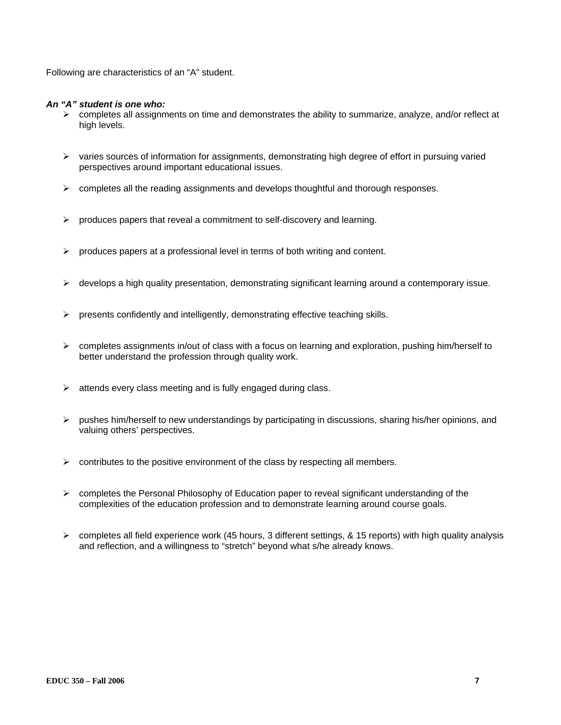Following are characteristics of an "A" student.

### *An "A" student is one who:*

- ¾ completes all assignments on time and demonstrates the ability to summarize, analyze, and/or reflect at high levels.
- $\triangleright$  varies sources of information for assignments, demonstrating high degree of effort in pursuing varied perspectives around important educational issues.
- $\triangleright$  completes all the reading assignments and develops thoughtful and thorough responses.
- $\triangleright$  produces papers that reveal a commitment to self-discovery and learning.
- $\triangleright$  produces papers at a professional level in terms of both writing and content.
- $\triangleright$  develops a high quality presentation, demonstrating significant learning around a contemporary issue.
- $\triangleright$  presents confidently and intelligently, demonstrating effective teaching skills.
- $\triangleright$  completes assignments in/out of class with a focus on learning and exploration, pushing him/herself to better understand the profession through quality work.
- $\triangleright$  attends every class meeting and is fully engaged during class.
- ¾ pushes him/herself to new understandings by participating in discussions, sharing his/her opinions, and valuing others' perspectives.
- $\triangleright$  contributes to the positive environment of the class by respecting all members.
- $\triangleright$  completes the Personal Philosophy of Education paper to reveal significant understanding of the complexities of the education profession and to demonstrate learning around course goals.
- $\triangleright$  completes all field experience work (45 hours, 3 different settings, & 15 reports) with high quality analysis and reflection, and a willingness to "stretch" beyond what s/he already knows.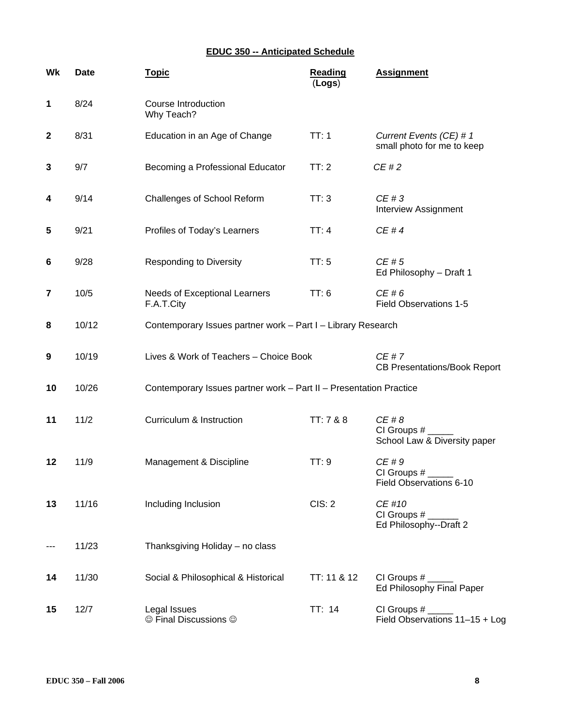# **EDUC 350 -- Anticipated Schedule**

| Wk          | <b>Date</b> | <b>Topic</b>                                                       | <b>Reading</b><br>(Logs) | <b>Assignment</b>                                      |
|-------------|-------------|--------------------------------------------------------------------|--------------------------|--------------------------------------------------------|
| 1           | 8/24        | Course Introduction<br>Why Teach?                                  |                          |                                                        |
| $\mathbf 2$ | 8/31        | Education in an Age of Change                                      | TT:1                     | Current Events (CE) # 1<br>small photo for me to keep  |
| 3           | 9/7         | Becoming a Professional Educator                                   | TT:2                     | CE#2                                                   |
| 4           | 9/14        | Challenges of School Reform                                        | TT:3                     | CE#3<br>Interview Assignment                           |
| 5           | 9/21        | Profiles of Today's Learners                                       | TT:4                     | CE#4                                                   |
| 6           | 9/28        | <b>Responding to Diversity</b>                                     | TT:5                     | CE#5<br>Ed Philosophy - Draft 1                        |
| 7           | 10/5        | Needs of Exceptional Learners<br>F.A.T.City                        | TT: 6                    | CE#6<br><b>Field Observations 1-5</b>                  |
| 8           | 10/12       | Contemporary Issues partner work - Part I - Library Research       |                          |                                                        |
| 9           | 10/19       | Lives & Work of Teachers - Choice Book                             |                          | CE#7<br><b>CB Presentations/Book Report</b>            |
| 10          | 10/26       | Contemporary Issues partner work - Part II - Presentation Practice |                          |                                                        |
| 11          | 11/2        | Curriculum & Instruction                                           | TT: 7 & 8                | CE#8<br>CI Groups $#_$<br>School Law & Diversity paper |
| 12          | 11/9        | Management & Discipline                                            | TT:9                     | CE#9<br>CI Groups #<br>Field Observations 6-10         |
| 13          | 11/16       | Including Inclusion                                                | CIS: 2                   | CE #10<br>CI Groups $#_$<br>Ed Philosophy--Draft 2     |
|             | 11/23       | Thanksgiving Holiday - no class                                    |                          |                                                        |
| 14          | 11/30       | Social & Philosophical & Historical                                | TT: 11 & 12              | CI Groups $#_$<br>Ed Philosophy Final Paper            |
| 15          | 12/7        | Legal Issues<br>© Final Discussions ©                              | TT: 14                   | CI Groups #<br>Field Observations 11-15 + Log          |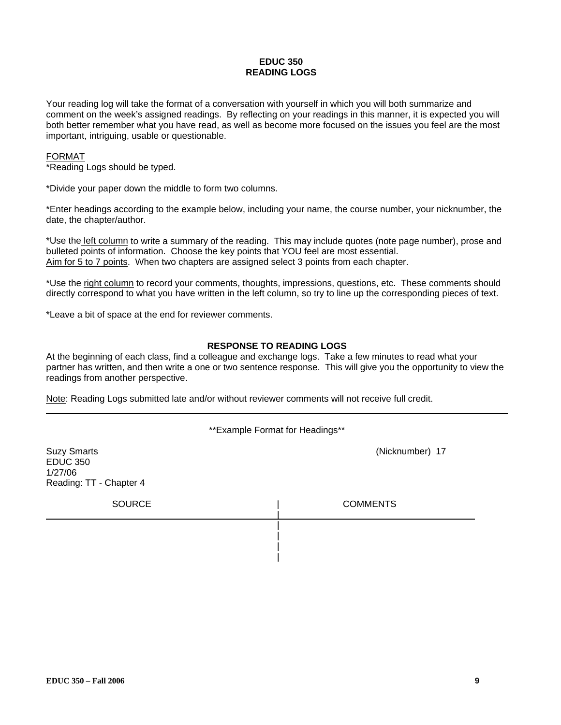#### **EDUC 350 READING LOGS**

Your reading log will take the format of a conversation with yourself in which you will both summarize and comment on the week's assigned readings. By reflecting on your readings in this manner, it is expected you will both better remember what you have read, as well as become more focused on the issues you feel are the most important, intriguing, usable or questionable.

#### FORMAT

\*Reading Logs should be typed.

\*Divide your paper down the middle to form two columns.

\*Enter headings according to the example below, including your name, the course number, your nicknumber, the date, the chapter/author.

\*Use the left column to write a summary of the reading. This may include quotes (note page number), prose and bulleted points of information. Choose the key points that YOU feel are most essential. Aim for 5 to 7 points. When two chapters are assigned select 3 points from each chapter.

\*Use the right column to record your comments, thoughts, impressions, questions, etc. These comments should directly correspond to what you have written in the left column, so try to line up the corresponding pieces of text.

\*Leave a bit of space at the end for reviewer comments.

### **RESPONSE TO READING LOGS**

At the beginning of each class, find a colleague and exchange logs. Take a few minutes to read what your partner has written, and then write a one or two sentence response. This will give you the opportunity to view the readings from another perspective.

Note: Reading Logs submitted late and/or without reviewer comments will not receive full credit.

| ** Example Format for Headings**                                            |                 |  |  |
|-----------------------------------------------------------------------------|-----------------|--|--|
| <b>Suzy Smarts</b><br><b>EDUC 350</b><br>1/27/06<br>Reading: TT - Chapter 4 | (Nicknumber) 17 |  |  |
| <b>SOURCE</b>                                                               | <b>COMMENTS</b> |  |  |
|                                                                             |                 |  |  |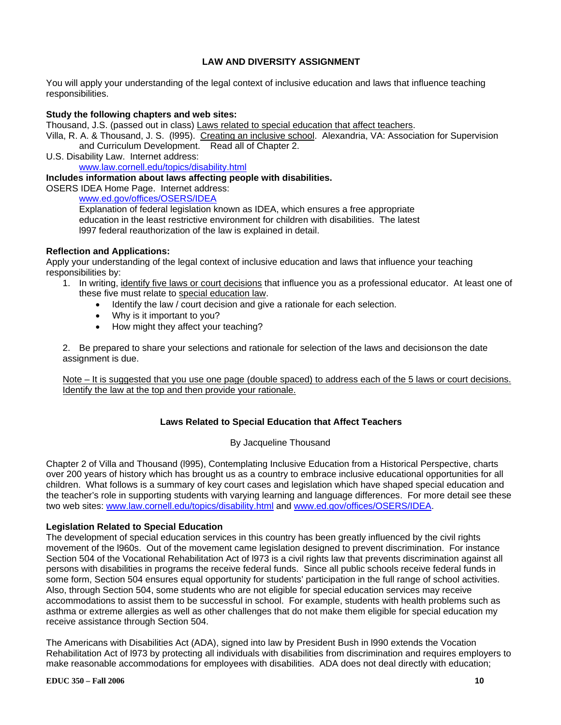# **LAW AND DIVERSITY ASSIGNMENT**

You will apply your understanding of the legal context of inclusive education and laws that influence teaching responsibilities.

### **Study the following chapters and web sites:**

Thousand, J.S. (passed out in class) Laws related to special education that affect teachers.

Villa, R. A. & Thousand, J. S. (1995). Creating an inclusive school. Alexandria, VA: Association for Supervision and Curriculum Development. Read all of Chapter 2.

U.S. Disability Law. Internet address: www.law.cornell.edu/topics/disability.html

#### **Includes information about laws affecting people with disabilities.**

OSERS IDEA Home Page. Internet address:

www.ed.gov/offices/OSERS/IDEA

Explanation of federal legislation known as IDEA, which ensures a free appropriate education in the least restrictive environment for children with disabilities. The latest l997 federal reauthorization of the law is explained in detail.

### **Reflection and Applications:**

Apply your understanding of the legal context of inclusive education and laws that influence your teaching responsibilities by:

- 1. In writing, identify five laws or court decisions that influence you as a professional educator. At least one of these five must relate to special education law.
	- Identify the law / court decision and give a rationale for each selection.
	- Why is it important to you?
	- How might they affect your teaching?

2. Be prepared to share your selections and rationale for selection of the laws and decisions on the date assignment is due.

Note – It is suggested that you use one page (double spaced) to address each of the 5 laws or court decisions. Identify the law at the top and then provide your rationale.

### **Laws Related to Special Education that Affect Teachers**

### By Jacqueline Thousand

Chapter 2 of Villa and Thousand (l995), Contemplating Inclusive Education from a Historical Perspective, charts over 200 years of history which has brought us as a country to embrace inclusive educational opportunities for all children. What follows is a summary of key court cases and legislation which have shaped special education and the teacher's role in supporting students with varying learning and language differences. For more detail see these two web sites: www.law.cornell.edu/topics/disability.html and www.ed.gov/offices/OSERS/IDEA.

### **Legislation Related to Special Education**

The development of special education services in this country has been greatly influenced by the civil rights movement of the l960s. Out of the movement came legislation designed to prevent discrimination. For instance Section 504 of the Vocational Rehabilitation Act of l973 is a civil rights law that prevents discrimination against all persons with disabilities in programs the receive federal funds. Since all public schools receive federal funds in some form, Section 504 ensures equal opportunity for students' participation in the full range of school activities. Also, through Section 504, some students who are not eligible for special education services may receive accommodations to assist them to be successful in school. For example, students with health problems such as asthma or extreme allergies as well as other challenges that do not make them eligible for special education my receive assistance through Section 504.

The Americans with Disabilities Act (ADA), signed into law by President Bush in l990 extends the Vocation Rehabilitation Act of l973 by protecting all individuals with disabilities from discrimination and requires employers to make reasonable accommodations for employees with disabilities. ADA does not deal directly with education;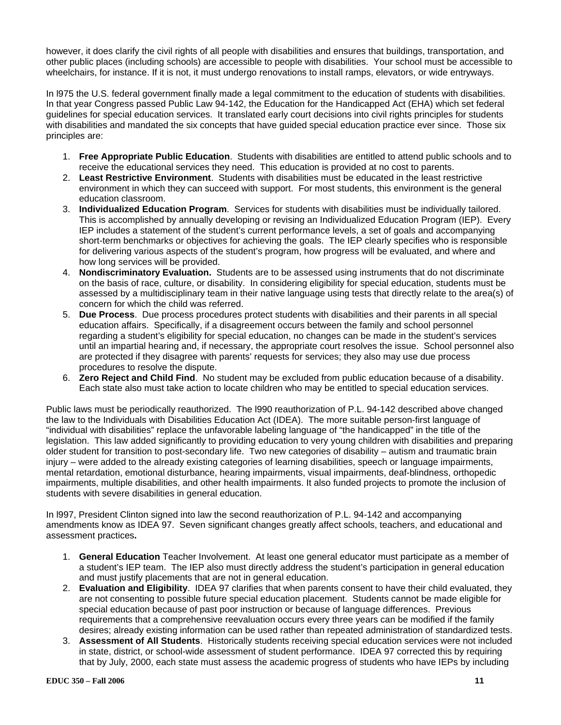however, it does clarify the civil rights of all people with disabilities and ensures that buildings, transportation, and other public places (including schools) are accessible to people with disabilities. Your school must be accessible to wheelchairs, for instance. If it is not, it must undergo renovations to install ramps, elevators, or wide entryways.

In l975 the U.S. federal government finally made a legal commitment to the education of students with disabilities. In that year Congress passed Public Law 94-142, the Education for the Handicapped Act (EHA) which set federal guidelines for special education services. It translated early court decisions into civil rights principles for students with disabilities and mandated the six concepts that have guided special education practice ever since. Those six principles are:

- 1. **Free Appropriate Public Education**. Students with disabilities are entitled to attend public schools and to receive the educational services they need. This education is provided at no cost to parents.
- 2. **Least Restrictive Environment**. Students with disabilities must be educated in the least restrictive environment in which they can succeed with support. For most students, this environment is the general education classroom.
- 3. **Individualized Education Program**. Services for students with disabilities must be individually tailored. This is accomplished by annually developing or revising an Individualized Education Program (IEP). Every IEP includes a statement of the student's current performance levels, a set of goals and accompanying short-term benchmarks or objectives for achieving the goals. The IEP clearly specifies who is responsible for delivering various aspects of the student's program, how progress will be evaluated, and where and how long services will be provided.
- 4. **Nondiscriminatory Evaluation.** Students are to be assessed using instruments that do not discriminate on the basis of race, culture, or disability. In considering eligibility for special education, students must be assessed by a multidisciplinary team in their native language using tests that directly relate to the area(s) of concern for which the child was referred.
- 5. **Due Process**. Due process procedures protect students with disabilities and their parents in all special education affairs. Specifically, if a disagreement occurs between the family and school personnel regarding a student's eligibility for special education, no changes can be made in the student's services until an impartial hearing and, if necessary, the appropriate court resolves the issue. School personnel also are protected if they disagree with parents' requests for services; they also may use due process procedures to resolve the dispute.
- 6. **Zero Reject and Child Find**. No student may be excluded from public education because of a disability. Each state also must take action to locate children who may be entitled to special education services.

Public laws must be periodically reauthorized. The l990 reauthorization of P.L. 94-142 described above changed the law to the Individuals with Disabilities Education Act (IDEA). The more suitable person-first language of "individual with disabilities" replace the unfavorable labeling language of "the handicapped" in the title of the legislation. This law added significantly to providing education to very young children with disabilities and preparing older student for transition to post-secondary life. Two new categories of disability – autism and traumatic brain injury – were added to the already existing categories of learning disabilities, speech or language impairments, mental retardation, emotional disturbance, hearing impairments, visual impairments, deaf-blindness, orthopedic impairments, multiple disabilities, and other health impairments. It also funded projects to promote the inclusion of students with severe disabilities in general education.

In l997, President Clinton signed into law the second reauthorization of P.L. 94-142 and accompanying amendments know as IDEA 97. Seven significant changes greatly affect schools, teachers, and educational and assessment practices**.** 

- 1. **General Education** Teacher Involvement. At least one general educator must participate as a member of a student's IEP team. The IEP also must directly address the student's participation in general education and must justify placements that are not in general education.
- 2. **Evaluation and Eligibility**. IDEA 97 clarifies that when parents consent to have their child evaluated, they are not consenting to possible future special education placement. Students cannot be made eligible for special education because of past poor instruction or because of language differences. Previous requirements that a comprehensive reevaluation occurs every three years can be modified if the family desires; already existing information can be used rather than repeated administration of standardized tests.
- 3. **Assessment of All Students**. Historically students receiving special education services were not included in state, district, or school-wide assessment of student performance. IDEA 97 corrected this by requiring that by July, 2000, each state must assess the academic progress of students who have IEPs by including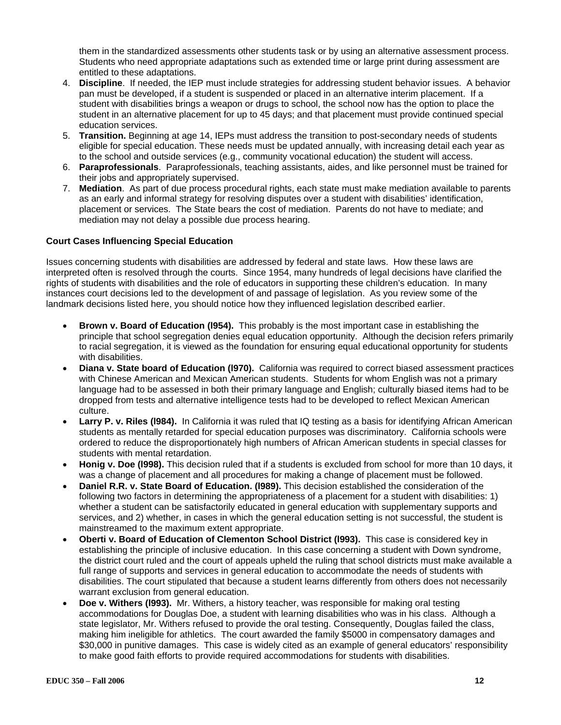them in the standardized assessments other students task or by using an alternative assessment process. Students who need appropriate adaptations such as extended time or large print during assessment are entitled to these adaptations.

- 4. **Discipline**. If needed, the IEP must include strategies for addressing student behavior issues. A behavior pan must be developed, if a student is suspended or placed in an alternative interim placement. If a student with disabilities brings a weapon or drugs to school, the school now has the option to place the student in an alternative placement for up to 45 days; and that placement must provide continued special education services.
- 5. **Transition.** Beginning at age 14, IEPs must address the transition to post-secondary needs of students eligible for special education. These needs must be updated annually, with increasing detail each year as to the school and outside services (e.g., community vocational education) the student will access.
- 6. **Paraprofessionals**. Paraprofessionals, teaching assistants, aides, and like personnel must be trained for their jobs and appropriately supervised.
- 7. **Mediation**. As part of due process procedural rights, each state must make mediation available to parents as an early and informal strategy for resolving disputes over a student with disabilities' identification, placement or services. The State bears the cost of mediation. Parents do not have to mediate; and mediation may not delay a possible due process hearing.

# **Court Cases Influencing Special Education**

Issues concerning students with disabilities are addressed by federal and state laws. How these laws are interpreted often is resolved through the courts. Since 1954, many hundreds of legal decisions have clarified the rights of students with disabilities and the role of educators in supporting these children's education. In many instances court decisions led to the development of and passage of legislation. As you review some of the landmark decisions listed here, you should notice how they influenced legislation described earlier.

- **Brown v. Board of Education (l954).** This probably is the most important case in establishing the principle that school segregation denies equal education opportunity. Although the decision refers primarily to racial segregation, it is viewed as the foundation for ensuring equal educational opportunity for students with disabilities.
- **Diana v. State board of Education (l970).** California was required to correct biased assessment practices with Chinese American and Mexican American students. Students for whom English was not a primary language had to be assessed in both their primary language and English; culturally biased items had to be dropped from tests and alternative intelligence tests had to be developed to reflect Mexican American culture.
- **Larry P. v. Riles (l984).** In California it was ruled that IQ testing as a basis for identifying African American students as mentally retarded for special education purposes was discriminatory. California schools were ordered to reduce the disproportionately high numbers of African American students in special classes for students with mental retardation.
- **Honig v. Doe (l998).** This decision ruled that if a students is excluded from school for more than 10 days, it was a change of placement and all procedures for making a change of placement must be followed.
- **Daniel R.R. v. State Board of Education. (l989).** This decision established the consideration of the following two factors in determining the appropriateness of a placement for a student with disabilities: 1) whether a student can be satisfactorily educated in general education with supplementary supports and services, and 2) whether, in cases in which the general education setting is not successful, the student is mainstreamed to the maximum extent appropriate.
- **Oberti v. Board of Education of Clementon School District (l993).** This case is considered key in establishing the principle of inclusive education. In this case concerning a student with Down syndrome, the district court ruled and the court of appeals upheld the ruling that school districts must make available a full range of supports and services in general education to accommodate the needs of students with disabilities. The court stipulated that because a student learns differently from others does not necessarily warrant exclusion from general education.
- **Doe v. Withers (l993).** Mr. Withers, a history teacher, was responsible for making oral testing accommodations for Douglas Doe, a student with learning disabilities who was in his class. Although a state legislator, Mr. Withers refused to provide the oral testing. Consequently, Douglas failed the class, making him ineligible for athletics. The court awarded the family \$5000 in compensatory damages and \$30,000 in punitive damages. This case is widely cited as an example of general educators' responsibility to make good faith efforts to provide required accommodations for students with disabilities.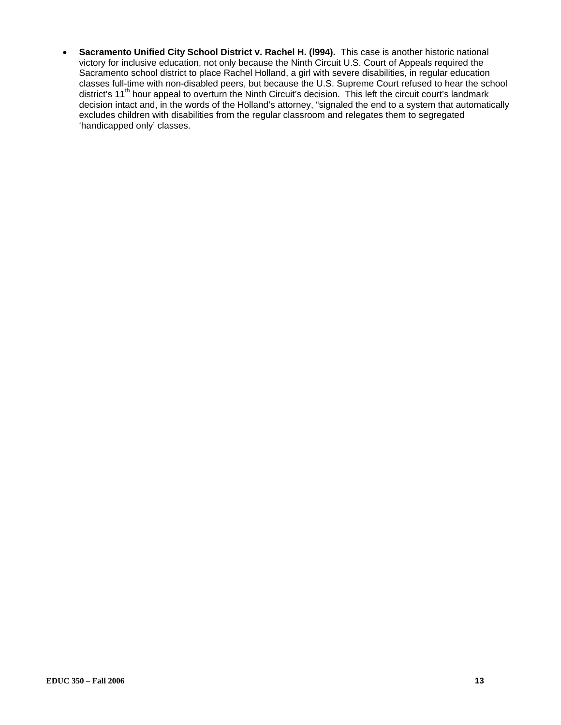• **Sacramento Unified City School District v. Rachel H. (l994).** This case is another historic national victory for inclusive education, not only because the Ninth Circuit U.S. Court of Appeals required the Sacramento school district to place Rachel Holland, a girl with severe disabilities, in regular education classes full-time with non-disabled peers, but because the U.S. Supreme Court refused to hear the school district's 11<sup>th</sup> hour appeal to overturn the Ninth Circuit's decision. This left the circuit court's landmark decision intact and, in the words of the Holland's attorney, "signaled the end to a system that automatically excludes children with disabilities from the regular classroom and relegates them to segregated 'handicapped only' classes.